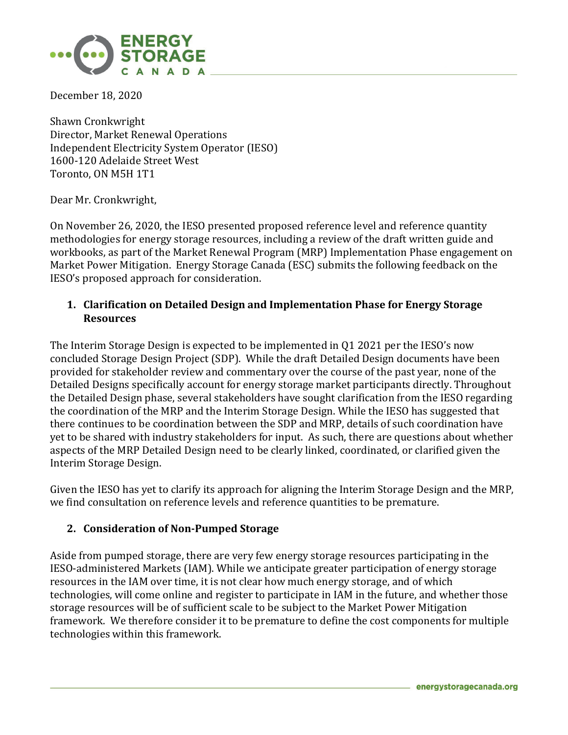

December 18, 2020

Shawn Cronkwright Director, Market Renewal Operations Independent Electricity System Operator (IESO) 1600-120 Adelaide Street West Toronto, ON M5H 1T1

Dear Mr. Cronkwright,

On November 26, 2020, the IESO presented proposed reference level and reference quantity methodologies for energy storage resources, including a review of the draft written guide and workbooks, as part of the Market Renewal Program (MRP) Implementation Phase engagement on Market Power Mitigation. Energy Storage Canada (ESC) submits the following feedback on the IESO's proposed approach for consideration.

## **1. Clarification on Detailed Design and Implementation Phase for Energy Storage Resources**

The Interim Storage Design is expected to be implemented in Q1 2021 per the IESO's now concluded Storage Design Project (SDP). While the draft Detailed Design documents have been provided for stakeholder review and commentary over the course of the past year, none of the Detailed Designs specifically account for energy storage market participants directly. Throughout the Detailed Design phase, several stakeholders have sought clarification from the IESO regarding the coordination of the MRP and the Interim Storage Design. While the IESO has suggested that there continues to be coordination between the SDP and MRP, details of such coordination have yet to be shared with industry stakeholders for input. As such, there are questions about whether aspects of the MRP Detailed Design need to be clearly linked, coordinated, or clarified given the Interim Storage Design.

Given the IESO has yet to clarify its approach for aligning the Interim Storage Design and the MRP, we find consultation on reference levels and reference quantities to be premature.

## **2. Consideration of Non-Pumped Storage**

Aside from pumped storage, there are very few energy storage resources participating in the IESO-administered Markets (IAM). While we anticipate greater participation of energy storage resources in the IAM over time, it is not clear how much energy storage, and of which technologies, will come online and register to participate in IAM in the future, and whether those storage resources will be of sufficient scale to be subject to the Market Power Mitigation framework. We therefore consider it to be premature to define the cost components for multiple technologies within this framework.